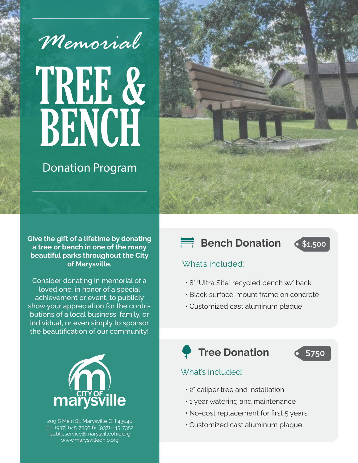

# TREE & BENCH

## Donation Program



**Give the gift of a lifetime by donating a tree or bench in one of the many beautiful parks throughout the City of Marysville.**

Consider donating in memorial of a loved one, in honor of a special achievement or event, to publicly show your appreciation for the contributions of a local business, family, or individual, or even simply to sponsor the beautification of our community!



209 S Main St, Marysville OH 43040 ph: (937) 645-7350 fx: (937) 645-7352 publicservice@marysvilleohio.org www.marysvilleohio.org

### **Bench Donation**



#### What's included:

- 8' "Ultra Site" recycled bench w/ back
- Black surface-mount frame on concrete
- Customized cast aluminum plaque

# **P** Tree Donation

**\$750**

#### What's included:

- 2" caliper tree and installation
- 1 year watering and maintenance
- No-cost replacement for first 5 years
- Customized cast aluminum plaque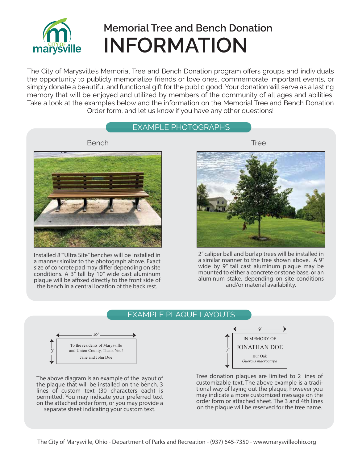

The City of Marysville's Memorial Tree and Bench Donation program offers groups and individuals the opportunity to publicly memorialize friends or love ones, commemorate important events, or simply donate a beautiful and functional gift for the public good. Your donation will serve as a lasting memory that will be enjoyed and utilized by members of the community of all ages and abilities! Take a look at the examples below and the information on the Memorial Tree and Bench Donation Order form, and let us know if you have any other questions!

#### EXAMPLE PHOTOGRAPHS



Installed 8" Ultra Site" benches will be installed in a manner similar to the photograph above. Exact size of concrete pad may differ depending on site conditions. A  $3''$  tall by 10" wide cast aluminum plaque will be affixed directly to the front side of the bench in a central location of the back rest.



2" caliper ball and burlap trees will be installed in a similar manner to the tree shown above. A 9" wide by 9" tall cast aluminum plaque may be mounted to either a concrete or stone base, or an aluminum stake, depending on site conditions and/or material availability.

#### EXAMPLE PLAQUE LAYOUTS



The above diagram is an example of the layout of the plaque that will be installed on the bench. 3 lines of custom text (30 characters each) is permitted. You may indicate your preferred text on the attached order form, or you may provide a separate sheet indicating your custom text.



Tree donation plaques are limited to 2 lines of customizable text. The above example is a traditional way of laying out the plaque, however you may indicate a more customized message on the order form or attached sheet. The 3 and 4th lines on the plaque will be reserved for the tree name.